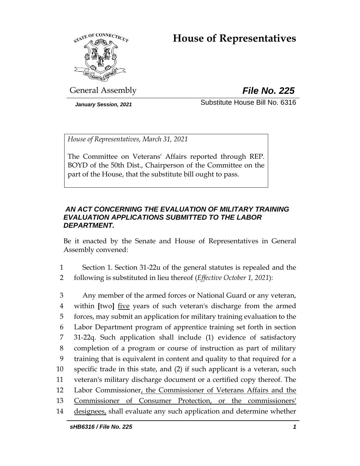# **House of Representatives**



General Assembly *File No. 225*

*January Session, 2021* Substitute House Bill No. 6316

*House of Representatives, March 31, 2021*

The Committee on Veterans' Affairs reported through REP. BOYD of the 50th Dist., Chairperson of the Committee on the part of the House, that the substitute bill ought to pass.

# *AN ACT CONCERNING THE EVALUATION OF MILITARY TRAINING EVALUATION APPLICATIONS SUBMITTED TO THE LABOR DEPARTMENT.*

Be it enacted by the Senate and House of Representatives in General Assembly convened:

- 1 Section 1. Section 31-22u of the general statutes is repealed and the 2 following is substituted in lieu thereof (*Effective October 1, 2021*):
- 3 Any member of the armed forces or National Guard or any veteran, 4 within **[**two**]** five years of such veteran's discharge from the armed 5 forces, may submit an application for military training evaluation to the 6 Labor Department program of apprentice training set forth in section 7 31-22q. Such application shall include (1) evidence of satisfactory 8 completion of a program or course of instruction as part of military 9 training that is equivalent in content and quality to that required for a 10 specific trade in this state, and (2) if such applicant is a veteran, such 11 veteran's military discharge document or a certified copy thereof. The 12 Labor Commissioner, the Commissioner of Veterans Affairs and the 13 Commissioner of Consumer Protection, or the commissioners' 14 designees, shall evaluate any such application and determine whether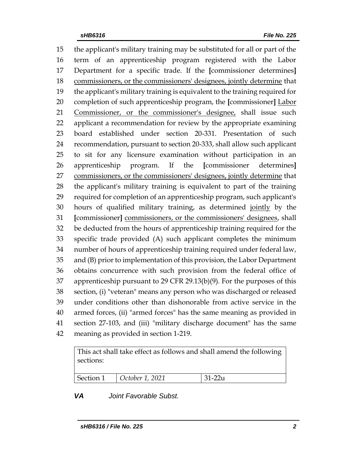the applicant's military training may be substituted for all or part of the term of an apprenticeship program registered with the Labor Department for a specific trade. If the **[**commissioner determines**]** commissioners, or the commissioners' designees, jointly determine that the applicant's military training is equivalent to the training required for completion of such apprenticeship program, the **[**commissioner**]** Labor 21 Commissioner, or the commissioner's designee, shall issue such applicant a recommendation for review by the appropriate examining board established under section 20-331. Presentation of such recommendation, pursuant to section 20-333, shall allow such applicant to sit for any licensure examination without participation in an apprenticeship program. If the **[**commissioner determines**]** 27 commissioners, or the commissioners' designees, jointly determine that the applicant's military training is equivalent to part of the training required for completion of an apprenticeship program, such applicant's hours of qualified military training, as determined jointly by the **[**commissioner**]** commissioners, or the commissioners' designees, shall be deducted from the hours of apprenticeship training required for the specific trade provided (A) such applicant completes the minimum number of hours of apprenticeship training required under federal law, and (B) prior to implementation of this provision, the Labor Department obtains concurrence with such provision from the federal office of apprenticeship pursuant to 29 CFR 29.13(b)(9). For the purposes of this section, (i) "veteran" means any person who was discharged or released under conditions other than dishonorable from active service in the armed forces, (ii) "armed forces" has the same meaning as provided in section 27-103, and (iii) "military discharge document" has the same meaning as provided in section 1-219.

This act shall take effect as follows and shall amend the following sections:

| Section 1 | $\vert$ October 1, 2021 | $\overline{21}$ |
|-----------|-------------------------|-----------------|

#### *VA Joint Favorable Subst.*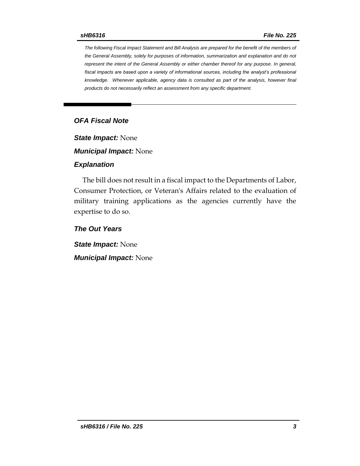*The following Fiscal Impact Statement and Bill Analysis are prepared for the benefit of the members of the General Assembly, solely for purposes of information, summarization and explanation and do not represent the intent of the General Assembly or either chamber thereof for any purpose. In general, fiscal impacts are based upon a variety of informational sources, including the analyst's professional knowledge. Whenever applicable, agency data is consulted as part of the analysis, however final products do not necessarily reflect an assessment from any specific department.*

# *OFA Fiscal Note*

*State Impact:* None

*Municipal Impact:* None

#### *Explanation*

The bill does not result in a fiscal impact to the Departments of Labor, Consumer Protection, or Veteran's Affairs related to the evaluation of military training applications as the agencies currently have the expertise to do so.

*The Out Years*

*State Impact:* None *Municipal Impact:* None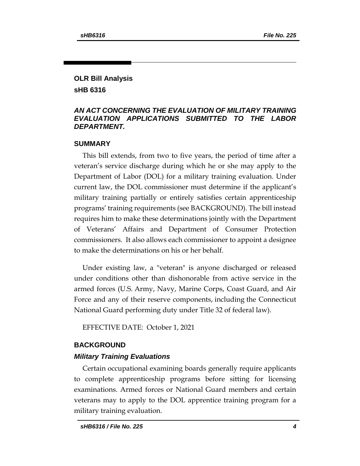# **OLR Bill Analysis sHB 6316**

# *AN ACT CONCERNING THE EVALUATION OF MILITARY TRAINING EVALUATION APPLICATIONS SUBMITTED TO THE LABOR DEPARTMENT.*

#### **SUMMARY**

This bill extends, from two to five years, the period of time after a veteran's service discharge during which he or she may apply to the Department of Labor (DOL) for a military training evaluation. Under current law, the DOL commissioner must determine if the applicant's military training partially or entirely satisfies certain apprenticeship programs' training requirements (see BACKGROUND). The bill instead requires him to make these determinations jointly with the Department of Veterans' Affairs and Department of Consumer Protection commissioners. It also allows each commissioner to appoint a designee to make the determinations on his or her behalf.

Under existing law, a "veteran" is anyone discharged or released under conditions other than dishonorable from active service in the armed forces (U.S. Army, Navy, Marine Corps, Coast Guard, and Air Force and any of their reserve components, including the Connecticut National Guard performing duty under Title 32 of federal law).

EFFECTIVE DATE: October 1, 2021

#### **BACKGROUND**

#### *Military Training Evaluations*

Certain occupational examining boards generally require applicants to complete apprenticeship programs before sitting for licensing examinations. Armed forces or National Guard members and certain veterans may to apply to the DOL apprentice training program for a military training evaluation.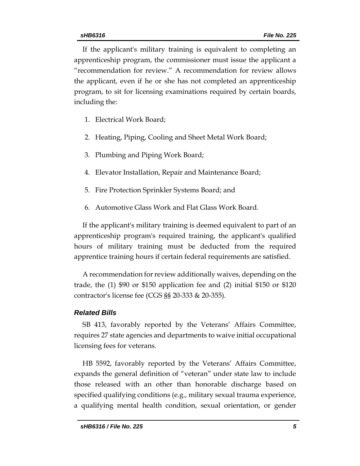If the applicant's military training is equivalent to completing an apprenticeship program, the commissioner must issue the applicant a "recommendation for review." A recommendation for review allows the applicant, even if he or she has not completed an apprenticeship program, to sit for licensing examinations required by certain boards, including the:

- 1. Electrical Work Board;
- 2. Heating, Piping, Cooling and Sheet Metal Work Board;
- 3. Plumbing and Piping Work Board;
- 4. Elevator Installation, Repair and Maintenance Board;
- 5. Fire Protection Sprinkler Systems Board; and
- 6. Automotive Glass Work and Flat Glass Work Board.

If the applicant's military training is deemed equivalent to part of an apprenticeship program's required training, the applicant's qualified hours of military training must be deducted from the required apprentice training hours if certain federal requirements are satisfied.

A recommendation for review additionally waives, depending on the trade, the (1) \$90 or \$150 application fee and (2) initial \$150 or \$120 contractor's license fee (CGS §§ 20-333 & 20-355).

#### *Related Bills*

SB 413, favorably reported by the Veterans' Affairs Committee, requires 27 state agencies and departments to waive initial occupational licensing fees for veterans.

HB 5592, favorably reported by the Veterans' Affairs Committee, expands the general definition of "veteran" under state law to include those released with an other than honorable discharge based on specified qualifying conditions (e.g., military sexual trauma experience, a qualifying mental health condition, sexual orientation, or gender